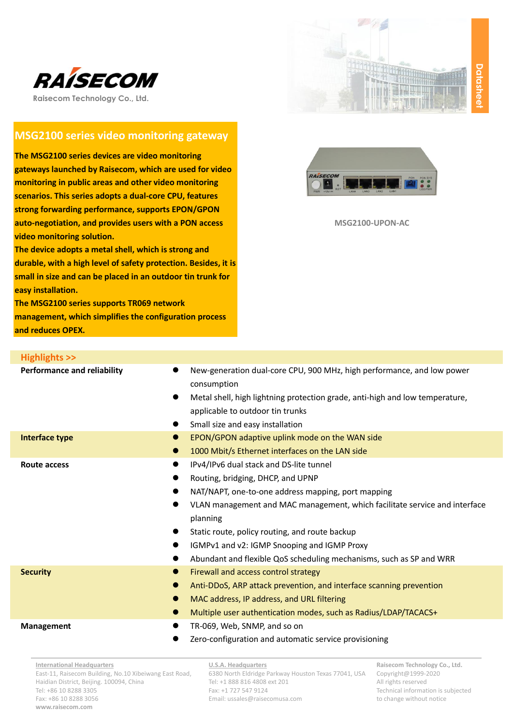



**Raisecom Technology Co., Ltd.**

# **MSG2100 series video monitoring gateway**

**The MSG2100 series devices are video monitoring gateways launched by Raisecom, which are used for video monitoring in public areas and other video monitoring scenarios. This series adopts a dual-core CPU, features strong forwarding performance, supports EPON/GPON auto-negotiation, and provides users with a PON access video monitoring solution.**

**The device adopts a metal shell, which is strong and durable, with a high level of safety protection. Besides, it is small in size and can be placed in an outdoor tin trunk for easy installation.**

**The MSG2100 series supports TR069 network management, which simplifies the configuration process and reduces OPEX.**



**MSG2100-UPON-AC**

| <b>Highlights &gt;&gt;</b>               |                                                                                                                                                                                                                                                                                                                                                                                                      |
|------------------------------------------|------------------------------------------------------------------------------------------------------------------------------------------------------------------------------------------------------------------------------------------------------------------------------------------------------------------------------------------------------------------------------------------------------|
| <b>Performance and reliability</b>       | New-generation dual-core CPU, 900 MHz, high performance, and low power<br>consumption<br>Metal shell, high lightning protection grade, anti-high and low temperature,<br>applicable to outdoor tin trunks<br>Small size and easy installation                                                                                                                                                        |
| Interface type<br>$\bullet$<br>$\bullet$ | EPON/GPON adaptive uplink mode on the WAN side<br>1000 Mbit/s Ethernet interfaces on the LAN side                                                                                                                                                                                                                                                                                                    |
| Route access<br>$\bullet$                | IPv4/IPv6 dual stack and DS-lite tunnel<br>Routing, bridging, DHCP, and UPNP<br>NAT/NAPT, one-to-one address mapping, port mapping<br>VLAN management and MAC management, which facilitate service and interface<br>planning<br>Static route, policy routing, and route backup<br>IGMPv1 and v2: IGMP Snooping and IGMP Proxy<br>Abundant and flexible QoS scheduling mechanisms, such as SP and WRR |
| <b>Security</b><br>$\bullet$             | Firewall and access control strategy<br>Anti-DDoS, ARP attack prevention, and interface scanning prevention<br>MAC address, IP address, and URL filtering<br>Multiple user authentication modes, such as Radius/LDAP/TACACS+                                                                                                                                                                         |
| <b>Management</b><br>$\bullet$           | TR-069, Web, SNMP, and so on<br>Zero-configuration and automatic service provisioning                                                                                                                                                                                                                                                                                                                |

**International Headquarters** East-11, Raisecom Building, No.10 Xibeiwang East Road, Haidian District, Beijing. 100094, China Tel: +86 10 8288 3305 Fax: +86 10 8288 3056 **www.raisecom.com**

#### **U.S.A. Headquarters**

6380 North Eldridge Parkway Houston Texas 77041, USA Tel: +1 888 816 4808 ext 201 Fax: +1 727 547 9124 Email: ussales@raisecomusa.com

**Raisecom Technology Co., Ltd.** Copyright@1999-2020 All rights reserved Technical information is subjected to change without notice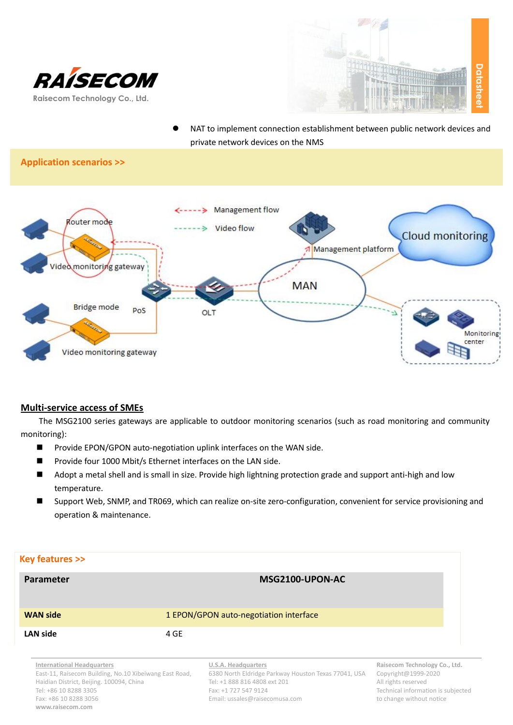



 NAT to implement connection establishment between public network devices and private network devices on the NMS

## **Application scenarios >>**



#### **Multi-service access of SMEs**

The MSG2100 series gateways are applicable to outdoor monitoring scenarios (such as road monitoring and community monitoring):

- Provide EPON/GPON auto-negotiation uplink interfaces on the WAN side.
- Provide four 1000 Mbit/s Ethernet interfaces on the LAN side.
- Adopt a metal shell and is small in size. Provide high lightning protection grade and support anti-high and low temperature.
- Support Web, SNMP, and TR069, which can realize on-site zero-configuration, convenient for service provisioning and operation & maintenance.

| Key features >>                                                                                                                      |      |                                                                                                                      |                                                                            |
|--------------------------------------------------------------------------------------------------------------------------------------|------|----------------------------------------------------------------------------------------------------------------------|----------------------------------------------------------------------------|
| Parameter                                                                                                                            |      | MSG2100-UPON-AC                                                                                                      |                                                                            |
| <b>WAN side</b>                                                                                                                      |      | 1 EPON/GPON auto-negotiation interface                                                                               |                                                                            |
| <b>LAN side</b>                                                                                                                      | 4 GE |                                                                                                                      |                                                                            |
| <b>International Headquarters</b><br>East-11, Raisecom Building, No.10 Xibeiwang East Road,<br>Hoidian District Doiling 100001 China |      | U.S.A. Headquarters<br>6380 North Eldridge Parkway Houston Texas 77041, USA<br>$T_0$ , 11,000,016,1000 $\frac{1}{2}$ | Raisecom Technology Co., Ltd.<br>Copyright@1999-2020<br>All sights socomed |

Haidian District, Beijing. 100094, China Tel: +86 10 8288 3305 Fax: +86 10 8288 3056 **www.raisecom.com**

Tel: +1 888 816 4808 ext 201 Fax: +1 727 547 9124 Email: ussales@raisecomusa.com

All rights reserved Technical information is subjected to change without notice